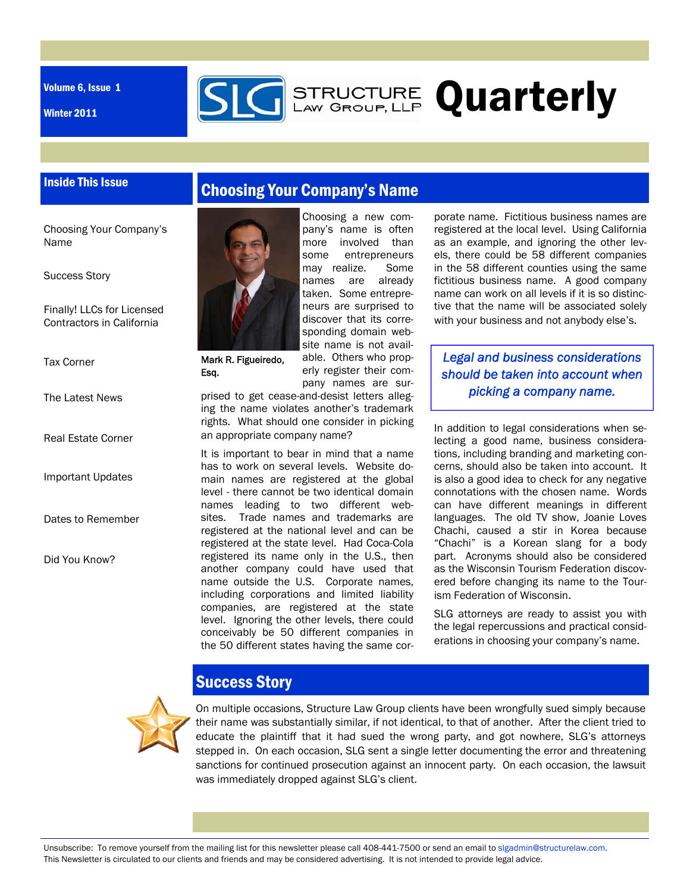Volume 6, Issue 1

Inside This Issue

Winter 2011



Choosing Your Company's Name

Success Story

Finally! LLCs for Licensed Contractors in California

Tax Corner

The Latest News

Real Estate Corner

Important Updates

Dates to Remember

Did You Know?



Mark R. Figueiredo, Esq.

pany's name is often more involved than some entrepreneurs may realize. Some names are already taken. Some entrepreneurs are surprised to discover that its corresponding domain website name is not available. Others who properly register their company names are sur-

Choosing a new com-

**STRUCTURE Quarterly** 

prised to get cease-and-desist letters alleging the name violates another's trademark rights. What should one consider in picking an appropriate company name?

It is important to bear in mind that a name has to work on several levels. Website domain names are registered at the global level - there cannot be two identical domain names leading to two different websites. Trade names and trademarks are registered at the national level and can be registered at the state level. Had Coca-Cola registered its name only in the U.S., then another company could have used that name outside the U.S. Corporate names, including corporations and limited liability companies, are registered at the state level. Ignoring the other levels, there could conceivably be 50 different companies in the 50 different states having the same cor-

porate name. Fictitious business names are registered at the local level. Using California as an example, and ignoring the other levels, there could be 58 different companies in the 58 different counties using the same fictitious business name. A good company name can work on all levels if it is so distinctive that the name will be associated solely with your business and not anybody else's.

*Legal and business considerations should be taken into account when picking a company name.* 

In addition to legal considerations when selecting a good name, business considerations, including branding and marketing concerns, should also be taken into account. It is also a good idea to check for any negative connotations with the chosen name. Words can have different meanings in different languages. The old TV show, Joanie Loves Chachi, caused a stir in Korea because "Chachi" is a Korean slang for a body part. Acronyms should also be considered as the Wisconsin Tourism Federation discovered before changing its name to the Tourism Federation of Wisconsin.

SLG attorneys are ready to assist you with the legal repercussions and practical considerations in choosing your company's name.



# Success Story

On multiple occasions, Structure Law Group clients have been wrongfully sued simply because their name was substantially similar, if not identical, to that of another. After the client tried to educate the plaintiff that it had sued the wrong party, and got nowhere, SLG's attorneys stepped in. On each occasion, SLG sent a single letter documenting the error and threatening sanctions for continued prosecution against an innocent party. On each occasion, the lawsuit was immediately dropped against SLG's client.

Unsubscribe: To remove yourself from the mailing list for this newsletter please call 408-441-7500 or send an email to slgadmin@structurelaw.com. This Newsletter is circulated to our clients and friends and may be considered advertising. It is not intended to provide legal advice.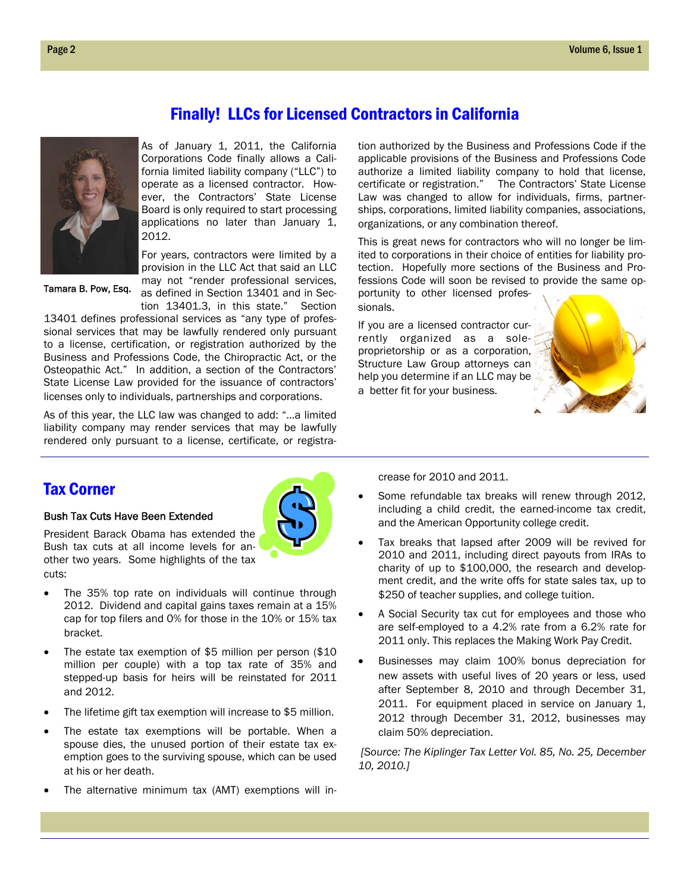## Finally! LLCs for Licensed Contractors in California

fornia limited liability company ("LLC") to operate as a licensed contractor. However, the Contractors' State License Board is only required to start processing 2012.

Tamara B. Pow, Esq.

applications no later than January 1, For years, contractors were limited by a provision in the LLC Act that said an LLC

As of January 1, 2011, the California Corporations Code finally allows a Cali-

may not "render professional services, as defined in Section 13401 and in Section 13401.3, in this state." Section

13401 defines professional services as "any type of professional services that may be lawfully rendered only pursuant to a license, certification, or registration authorized by the Business and Professions Code, the Chiropractic Act, or the Osteopathic Act." In addition, a section of the Contractors' State License Law provided for the issuance of contractors' licenses only to individuals, partnerships and corporations.

As of this year, the LLC law was changed to add: "…a limited liability company may render services that may be lawfully rendered only pursuant to a license, certificate, or registration authorized by the Business and Professions Code if the applicable provisions of the Business and Professions Code authorize a limited liability company to hold that license, certificate or registration." The Contractors' State License Law was changed to allow for individuals, firms, partnerships, corporations, limited liability companies, associations, organizations, or any combination thereof.

This is great news for contractors who will no longer be limited to corporations in their choice of entities for liability protection. Hopefully more sections of the Business and Professions Code will soon be revised to provide the same opportunity to other licensed profes-

sionals.

If you are a licensed contractor currently organized as a soleproprietorship or as a corporation, Structure Law Group attorneys can help you determine if an LLC may be a better fit for your business.



## Tax Corner

### Bush Tax Cuts Have Been Extended



President Barack Obama has extended the Bush tax cuts at all income levels for another two years. Some highlights of the tax cuts:

- The 35% top rate on individuals will continue through 2012. Dividend and capital gains taxes remain at a 15% cap for top filers and 0% for those in the 10% or 15% tax bracket.
- The estate tax exemption of \$5 million per person (\$10 million per couple) with a top tax rate of 35% and stepped-up basis for heirs will be reinstated for 2011 and 2012.
- The lifetime gift tax exemption will increase to \$5 million.
- The estate tax exemptions will be portable. When a spouse dies, the unused portion of their estate tax exemption goes to the surviving spouse, which can be used at his or her death.
- The alternative minimum tax (AMT) exemptions will in-

crease for 2010 and 2011.

- Some refundable tax breaks will renew through 2012, including a child credit, the earned-income tax credit, and the American Opportunity college credit.
- Tax breaks that lapsed after 2009 will be revived for 2010 and 2011, including direct payouts from IRAs to charity of up to \$100,000, the research and development credit, and the write offs for state sales tax, up to \$250 of teacher supplies, and college tuition.
- A Social Security tax cut for employees and those who are self-employed to a 4.2% rate from a 6.2% rate for 2011 only. This replaces the Making Work Pay Credit.
- Businesses may claim 100% bonus depreciation for new assets with useful lives of 20 years or less, used after September 8, 2010 and through December 31, 2011. For equipment placed in service on January 1, 2012 through December 31, 2012, businesses may claim 50% depreciation.

 *[Source: The Kiplinger Tax Letter Vol. 85, No. 25, December 10, 2010.]*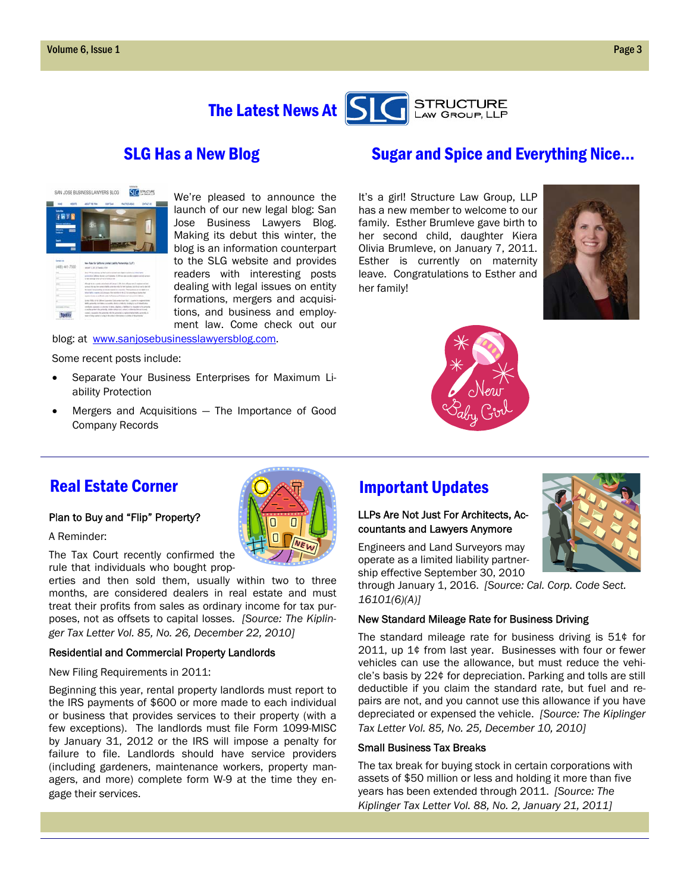

| <b>HOURS</b><br>œ<br><b>THTS</b>             | <b>OVATA</b><br>and he ray<br>DR TEAM<br>PACTER ARM                                                                                                                                                                                                                                                                                                                                                                                                                         |
|----------------------------------------------|-----------------------------------------------------------------------------------------------------------------------------------------------------------------------------------------------------------------------------------------------------------------------------------------------------------------------------------------------------------------------------------------------------------------------------------------------------------------------------|
| <b><i><u>Programmed and</u></i></b><br>−     |                                                                                                                                                                                                                                                                                                                                                                                                                                                                             |
| н                                            |                                                                                                                                                                                                                                                                                                                                                                                                                                                                             |
| <b>Grant</b>                                 | New Rales for California Liveland Liability Permanentials (TLF)                                                                                                                                                                                                                                                                                                                                                                                                             |
|                                              |                                                                                                                                                                                                                                                                                                                                                                                                                                                                             |
|                                              | retail to the Athens Library<br>line PR on any way a trial and accurate we stake transfer a chiesclatte<br>primits in others, downs as if includes. It fift on-size on also a grows and interest.                                                                                                                                                                                                                                                                           |
|                                              | to the strump of the Union Station and<br>Aloud the constitute send and analy 23% this of pop service agreement as<br>proved that any form served or darks accountance and a fire functions, and the service and in each or<br>for text at invariant to an incommunical after traveless. Then lookes are an injurie at an<br>Interfacts counties \$12 mount of the excitation has \$2 bit provides no button that                                                           |
| (408) 441-7500<br>$\sim$<br>u<br>$\sim$<br>× | matrix is lones as controller under the flustees and business out to an as (a) in 1,00 cm.<br>la mo NASCA de la labora Lopestera Laborestera transferir-la contrar la contenentativa<br>William Service in collaboration in a constant of the first state of a condition of the official and a<br>profitable appears) is playing to late. Algebra a failing of a chapter to be privatile<br>a pollo actuale la asterità, statte stituita ini, colari, a chessa del primordo |

We're pleased to announce the launch of our new legal blog: San Jose Business Lawyers Blog. Making its debut this winter, the blog is an information counterpart to the SLG website and provides readers with interesting posts dealing with legal issues on entity formations, mergers and acquisitions, and business and employment law. Come check out our

blog: at www.sanjosebusinesslawyersblog.com.

Some recent posts include:

- Separate Your Business Enterprises for Maximum Liability Protection
- Mergers and Acquisitions The Importance of Good Company Records



It's a girl! Structure Law Group, LLP has a new member to welcome to our family. Esther Brumleve gave birth to her second child, daughter Kiera Olivia Brumleve, on January 7, 2011. Esther is currently on maternity leave. Congratulations to Esther and her family!





### Real Estate Corner Real Estate Corner Real Estate Corner **Indian Important Updates**

### Plan to Buy and "Flip" Property?

A Reminder:

The Tax Court recently confirmed the rule that individuals who bought prop-

erties and then sold them, usually within two to three months, are considered dealers in real estate and must treat their profits from sales as ordinary income for tax purposes, not as offsets to capital losses. *[Source: The Kiplinger Tax Letter Vol. 85, No. 26, December 22, 2010]* 

### Residential and Commercial Property Landlords

New Filing Requirements in 2011:

Beginning this year, rental property landlords must report to the IRS payments of \$600 or more made to each individual or business that provides services to their property (with a few exceptions). The landlords must file Form 1099-MISC by January 31, 2012 or the IRS will impose a penalty for failure to file. Landlords should have service providers (including gardeners, maintenance workers, property managers, and more) complete form W-9 at the time they engage their services.

### LLPs Are Not Just For Architects, Accountants and Lawyers Anymore

Engineers and Land Surveyors may operate as a limited liability partnership effective September 30, 2010

through January 1, 2016. *[Source: Cal. Corp. Code Sect. 16101(6)(A)]* 

### New Standard Mileage Rate for Business Driving

The standard mileage rate for business driving is 51¢ for 2011, up 1¢ from last year. Businesses with four or fewer vehicles can use the allowance, but must reduce the vehicle's basis by 22¢ for depreciation. Parking and tolls are still deductible if you claim the standard rate, but fuel and repairs are not, and you cannot use this allowance if you have depreciated or expensed the vehicle. *[Source: The Kiplinger Tax Letter Vol. 85, No. 25, December 10, 2010]* 

### Small Business Tax Breaks

The tax break for buying stock in certain corporations with assets of \$50 million or less and holding it more than five years has been extended through 2011. *[Source: The Kiplinger Tax Letter Vol. 88, No. 2, January 21, 2011]*